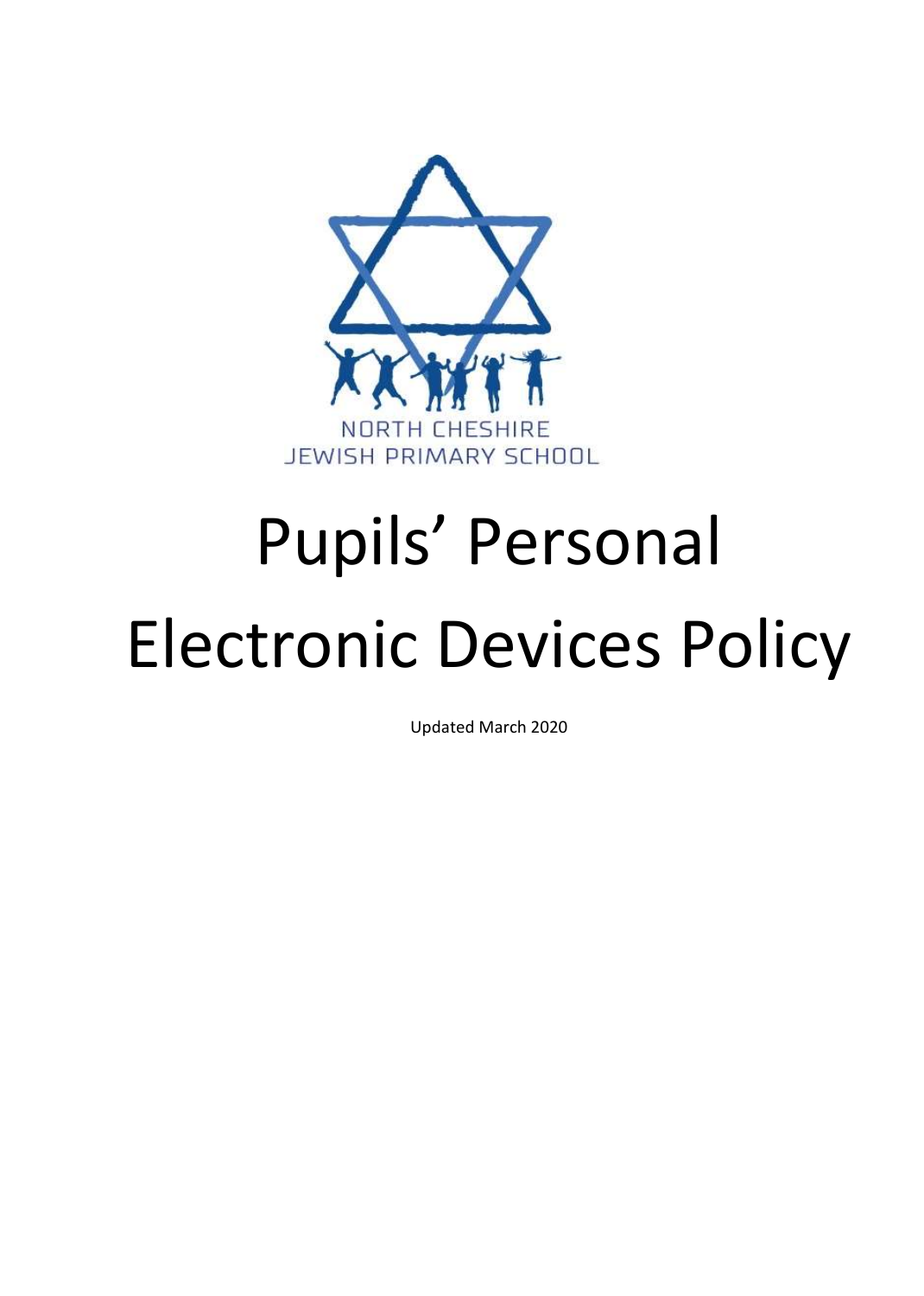

# Pupils' Personal

## Electronic Devices Policy

Updated March 2020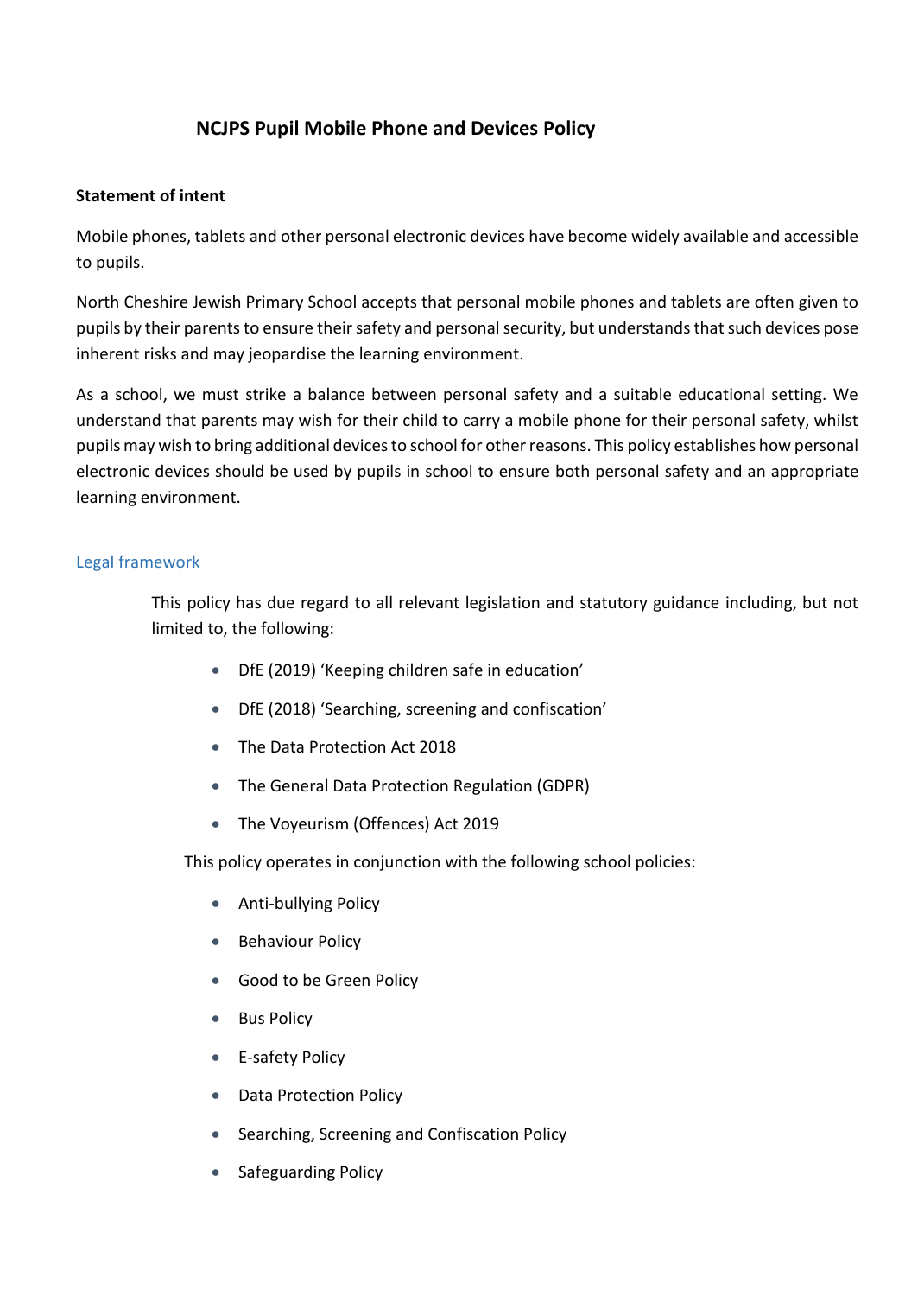### **NCJPS Pupil Mobile Phone and Devices Policy**

#### **Statement of intent**

Mobile phones, tablets and other personal electronic devices have become widely available and accessible to pupils.

North Cheshire Jewish Primary School accepts that personal mobile phones and tablets are often given to pupils by their parents to ensure their safety and personal security, but understands that such devices pose inherent risks and may jeopardise the learning environment.

As a school, we must strike a balance between personal safety and a suitable educational setting. We understand that parents may wish for their child to carry a mobile phone for their personal safety, whilst pupils may wish to bring additional devices to school for other reasons. This policy establishes how personal electronic devices should be used by pupils in school to ensure both personal safety and an appropriate learning environment.

#### Legal framework

This policy has due regard to all relevant legislation and statutory guidance including, but not limited to, the following:

- DfE (2019) 'Keeping children safe in education'
- DfE (2018) 'Searching, screening and confiscation'
- The Data Protection Act 2018
- The General Data Protection Regulation (GDPR)
- The Voyeurism (Offences) Act 2019

This policy operates in conjunction with the following school policies:

- Anti-bullying Policy
- **Behaviour Policy**
- Good to be Green Policy
- Bus Policy
- **E-safety Policy**
- Data Protection Policy
- Searching, Screening and Confiscation Policy
- Safeguarding Policy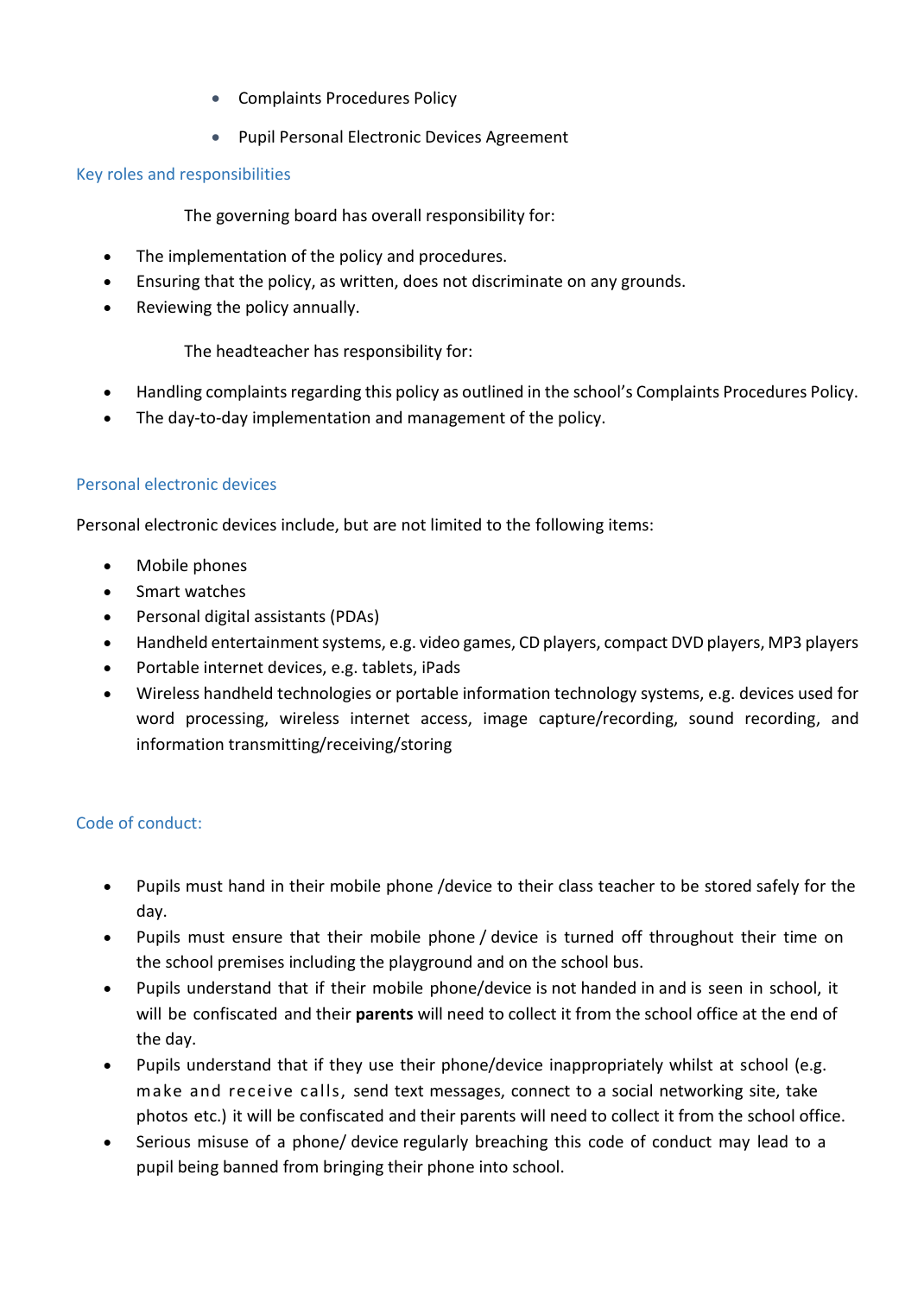- Complaints Procedures Policy
- Pupil Personal Electronic Devices Agreement

#### Key roles and responsibilities

The governing board has overall responsibility for:

- The implementation of the policy and procedures.
- Ensuring that the policy, as written, does not discriminate on any grounds.
- Reviewing the policy annually.

The headteacher has responsibility for:

- Handling complaints regarding this policy as outlined in the school's Complaints Procedures Policy.
- The day-to-day implementation and management of the policy.

#### Personal electronic devices

Personal electronic devices include, but are not limited to the following items:

- Mobile phones
- Smart watches
- Personal digital assistants (PDAs)
- Handheld entertainment systems, e.g. video games, CD players, compact DVD players, MP3 players
- Portable internet devices, e.g. tablets, iPads
- Wireless handheld technologies or portable information technology systems, e.g. devices used for word processing, wireless internet access, image capture/recording, sound recording, and information transmitting/receiving/storing

#### Code of conduct:

- Pupils must hand in their mobile phone /device to their class teacher to be stored safely for the day.
- Pupils must ensure that their mobile phone / device is turned off throughout their time on the school premises including the playground and on the school bus.
- Pupils understand that if their mobile phone/device is not handed in and is seen in school, it will be confiscated and their **parents** will need to collect it from the school office at the end of the day.
- Pupils understand that if they use their phone/device inappropriately whilst at school (e.g. make and receive calls, send text messages, connect to a social networking site, take photos etc.) it will be confiscated and their parents will need to collect it from the school office.
- Serious misuse of a phone/ device regularly breaching this code of conduct may lead to a pupil being banned from bringing their phone into school.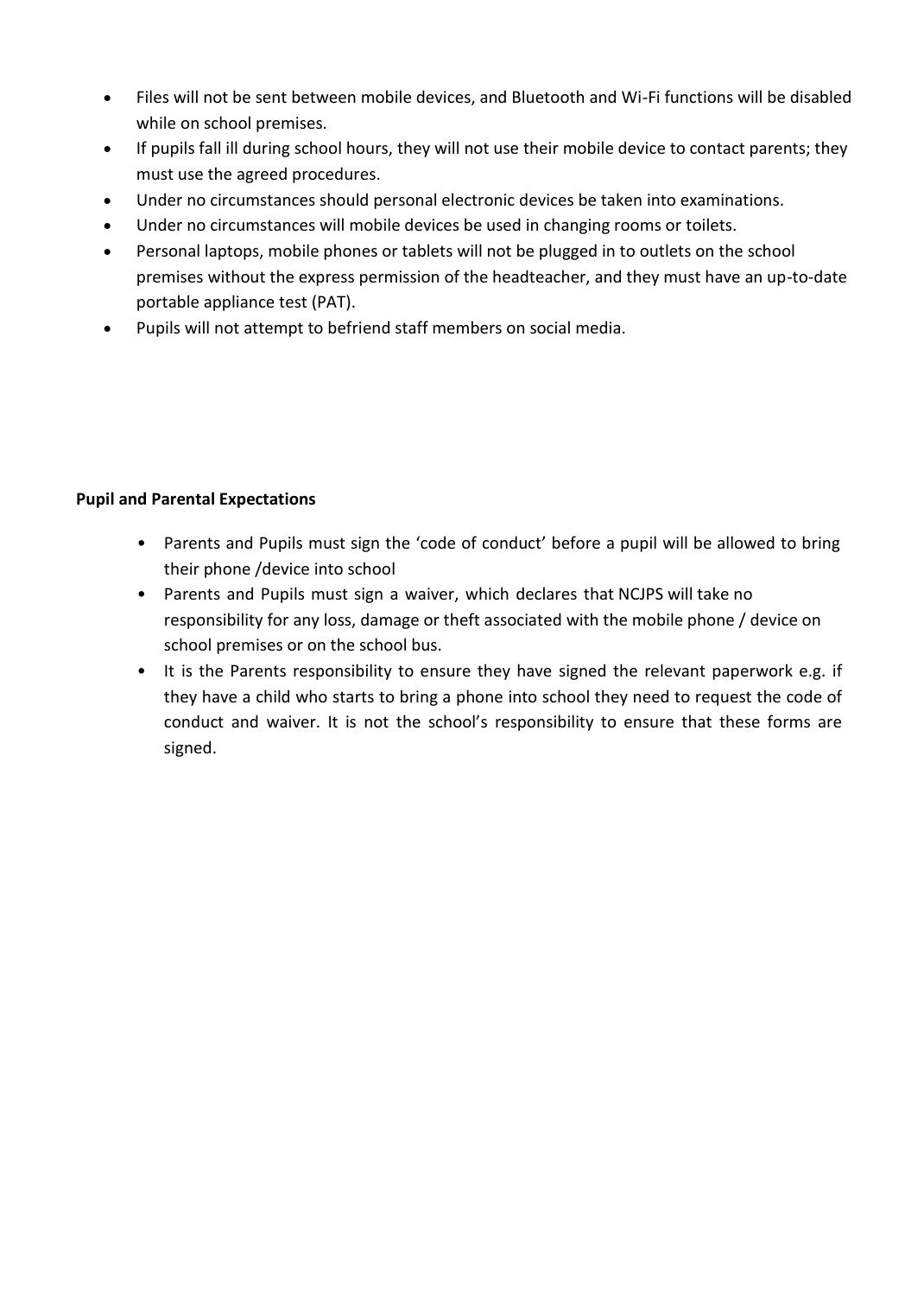- Files will not be sent between mobile devices, and Bluetooth and Wi-Fi functions will be disabled while on school premises.
- If pupils fall ill during school hours, they will not use their mobile device to contact parents; they must use the agreed procedures.
- Under no circumstances should personal electronic devices be taken into examinations.
- Under no circumstances will mobile devices be used in changing rooms or toilets.
- Personal laptops, mobile phones or tablets will not be plugged in to outlets on the school premises without the express permission of the headteacher, and they must have an up-to-date portable appliance test (PAT).
- Pupils will not attempt to befriend staff members on social media.

#### **Pupil and Parental Expectations**

- Parents and Pupils must sign the 'code of conduct' before a pupil will be allowed to bring their phone /device into school
- Parents and Pupils must sign a waiver, which declares that NCJPS will take no responsibility for any loss, damage or theft associated with the mobile phone / device on school premises or on the school bus.
- It is the Parents responsibility to ensure they have signed the relevant paperwork e.g. if they have a child who starts to bring a phone into school they need to request the code of conduct and waiver. It is not the school's responsibility to ensure that these forms are signed.